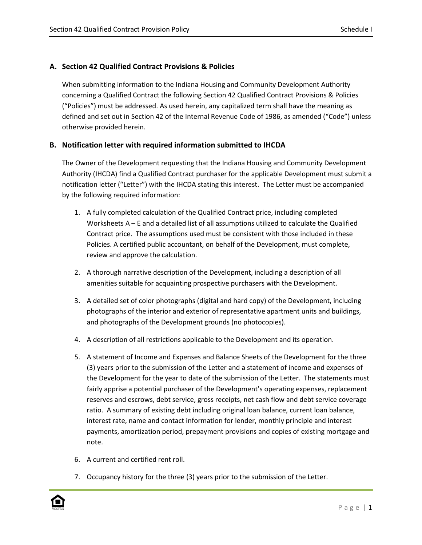# **A. Section 42 Qualified Contract Provisions & Policies**

When submitting information to the Indiana Housing and Community Development Authority concerning a Qualified Contract the following Section 42 Qualified Contract Provisions & Policies ("Policies") must be addressed. As used herein, any capitalized term shall have the meaning as defined and set out in Section 42 of the Internal Revenue Code of 1986, as amended ("Code") unless otherwise provided herein.

## **B. Notification letter with required information submitted to IHCDA**

The Owner of the Development requesting that the Indiana Housing and Community Development Authority (IHCDA) find a Qualified Contract purchaser for the applicable Development must submit a notification letter ("Letter") with the IHCDA stating this interest. The Letter must be accompanied by the following required information:

- 1. A fully completed calculation of the Qualified Contract price, including completed Worksheets A – E and a detailed list of all assumptions utilized to calculate the Qualified Contract price. The assumptions used must be consistent with those included in these Policies. A certified public accountant, on behalf of the Development, must complete, review and approve the calculation.
- 2. A thorough narrative description of the Development, including a description of all amenities suitable for acquainting prospective purchasers with the Development.
- 3. A detailed set of color photographs (digital and hard copy) of the Development, including photographs of the interior and exterior of representative apartment units and buildings, and photographs of the Development grounds (no photocopies).
- 4. A description of all restrictions applicable to the Development and its operation.
- 5. A statement of Income and Expenses and Balance Sheets of the Development for the three (3) years prior to the submission of the Letter and a statement of income and expenses of the Development for the year to date of the submission of the Letter. The statements must fairly apprise a potential purchaser of the Development's operating expenses, replacement reserves and escrows, debt service, gross receipts, net cash flow and debt service coverage ratio. A summary of existing debt including original loan balance, current loan balance, interest rate, name and contact information for lender, monthly principle and interest payments, amortization period, prepayment provisions and copies of existing mortgage and note.
- 6. A current and certified rent roll.
- 7. Occupancy history for the three (3) years prior to the submission of the Letter.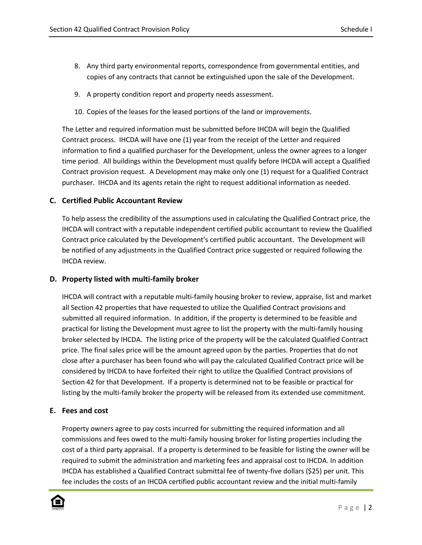- 8. Any third party environmental reports, correspondence from governmental entities, and copies of any contracts that cannot be extinguished upon the sale of the Development.
- 9. A property condition report and property needs assessment.
- 10. Copies of the leases for the leased portions of the land or improvements.

The Letter and required information must be submitted before IHCDA will begin the Qualified Contract process. IHCDA will have one (1) year from the receipt of the Letter and required information to find a qualified purchaser for the Development, unless the owner agrees to a longer time period. All buildings within the Development must qualify before IHCDA will accept a Qualified Contract provision request. A Development may make only one (1) request for a Qualified Contract purchaser. IHCDA and its agents retain the right to request additional information as needed.

## **C. Certified Public Accountant Review**

To help assess the credibility of the assumptions used in calculating the Qualified Contract price, the IHCDA will contract with a reputable independent certified public accountant to review the Qualified Contract price calculated by the Development's certified public accountant. The Development will be notified of any adjustments in the Qualified Contract price suggested or required following the IHCDA review.

#### **D. Property listed with multi-family broker**

IHCDA will contract with a reputable multi-family housing broker to review, appraise, list and market all Section 42 properties that have requested to utilize the Qualified Contract provisions and submitted all required information. In addition, if the property is determined to be feasible and practical for listing the Development must agree to list the property with the multi-family housing broker selected by IHCDA. The listing price of the property will be the calculated Qualified Contract price. The final sales price will be the amount agreed upon by the parties. Properties that do not close after a purchaser has been found who will pay the calculated Qualified Contract price will be considered by IHCDA to have forfeited their right to utilize the Qualified Contract provisions of Section 42 for that Development. If a property is determined not to be feasible or practical for listing by the multi-family broker the property will be released from its extended use commitment.

#### **E. Fees and cost**

Property owners agree to pay costs incurred for submitting the required information and all commissions and fees owed to the multi-family housing broker for listing properties including the cost of a third party appraisal. If a property is determined to be feasible for listing the owner will be required to submit the administration and marketing fees and appraisal cost to IHCDA. In addition IHCDA has established a Qualified Contract submittal fee of twenty-five dollars (\$25) per unit. This fee includes the costs of an IHCDA certified public accountant review and the initial multi-family

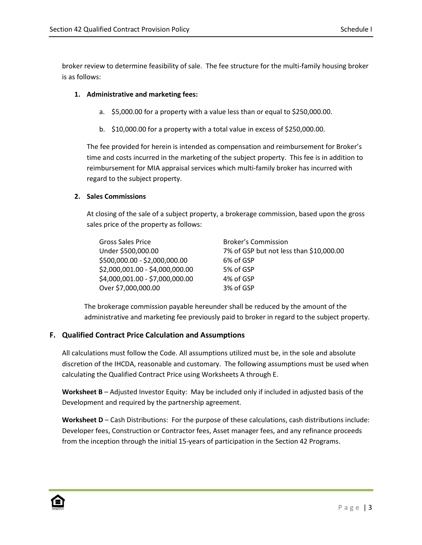broker review to determine feasibility of sale. The fee structure for the multi-family housing broker is as follows:

# **1. Administrative and marketing fees:**

- a. \$5,000.00 for a property with a value less than or equal to \$250,000.00.
- b. \$10,000.00 for a property with a total value in excess of \$250,000.00.

The fee provided for herein is intended as compensation and reimbursement for Broker's time and costs incurred in the marketing of the subject property. This fee is in addition to reimbursement for MIA appraisal services which multi-family broker has incurred with regard to the subject property.

## **2. Sales Commissions**

At closing of the sale of a subject property, a brokerage commission, based upon the gross sales price of the property as follows:

| <b>Gross Sales Price</b>        | <b>Broker's Commission</b>              |
|---------------------------------|-----------------------------------------|
| Under \$500,000.00              | 7% of GSP but not less than \$10,000.00 |
| \$500,000.00 - \$2,000,000.00   | 6% of GSP                               |
| \$2,000,001.00 - \$4,000,000.00 | 5% of GSP                               |
| \$4,000,001.00 - \$7,000,000.00 | 4% of GSP                               |
| Over \$7,000,000.00             | 3% of GSP                               |

The brokerage commission payable hereunder shall be reduced by the amount of the administrative and marketing fee previously paid to broker in regard to the subject property.

# **F. Qualified Contract Price Calculation and Assumptions**

All calculations must follow the Code. All assumptions utilized must be, in the sole and absolute discretion of the IHCDA, reasonable and customary. The following assumptions must be used when calculating the Qualified Contract Price using Worksheets A through E.

**Worksheet B** – Adjusted Investor Equity: May be included only if included in adjusted basis of the Development and required by the partnership agreement.

**Worksheet D** – Cash Distributions: For the purpose of these calculations, cash distributions include: Developer fees, Construction or Contractor fees, Asset manager fees, and any refinance proceeds from the inception through the initial 15-years of participation in the Section 42 Programs.